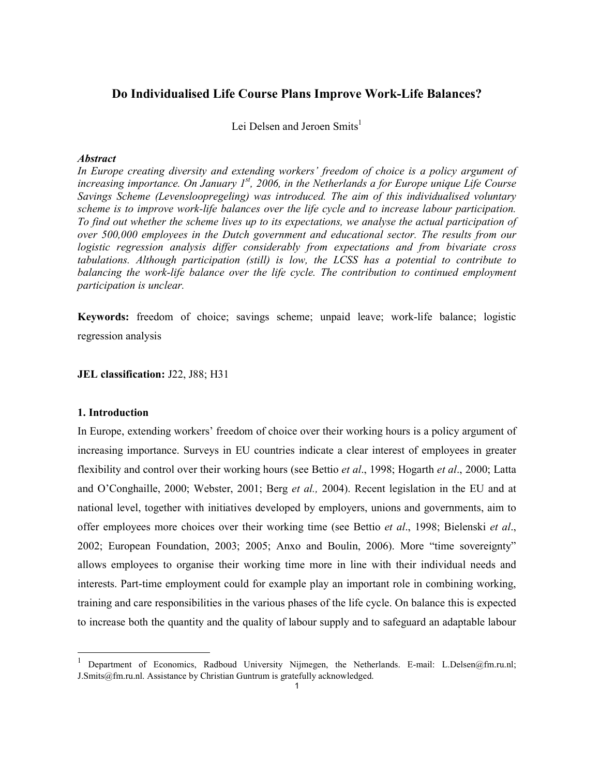# Do Individualised Life Course Plans Improve Work-Life Balances?

Lei Delsen and Jeroen Smits<sup>1</sup>

#### Abstract

In Europe creating diversity and extending workers' freedom of choice is a policy argument of increasing importance. On January  $I^{st}$ , 2006, in the Netherlands a for Europe unique Life Course Savings Scheme (Levensloopregeling) was introduced. The aim of this individualised voluntary scheme is to improve work-life balances over the life cycle and to increase labour participation. To find out whether the scheme lives up to its expectations, we analyse the actual participation of over 500,000 employees in the Dutch government and educational sector. The results from our logistic regression analysis differ considerably from expectations and from bivariate cross tabulations. Although participation (still) is low, the LCSS has a potential to contribute to balancing the work-life balance over the life cycle. The contribution to continued employment participation is unclear.

Keywords: freedom of choice; savings scheme; unpaid leave; work-life balance; logistic regression analysis

JEL classification: J22, J88; H31

#### 1. Introduction

 $\ddot{\phantom{a}}$ 

In Europe, extending workers' freedom of choice over their working hours is a policy argument of increasing importance. Surveys in EU countries indicate a clear interest of employees in greater flexibility and control over their working hours (see Bettio *et al.*, 1998; Hogarth *et al.*, 2000; Latta and O'Conghaille, 2000; Webster, 2001; Berg et al., 2004). Recent legislation in the EU and at national level, together with initiatives developed by employers, unions and governments, aim to offer employees more choices over their working time (see Bettio *et al.*, 1998; Bielenski *et al.*, 2002; European Foundation, 2003; 2005; Anxo and Boulin, 2006). More "time sovereignty" allows employees to organise their working time more in line with their individual needs and interests. Part-time employment could for example play an important role in combining working, training and care responsibilities in the various phases of the life cycle. On balance this is expected to increase both the quantity and the quality of labour supply and to safeguard an adaptable labour

<sup>1</sup> Department of Economics, Radboud University Nijmegen, the Netherlands. E-mail: L.Delsen@fm.ru.nl; J.Smits@fm.ru.nl. Assistance by Christian Guntrum is gratefully acknowledged.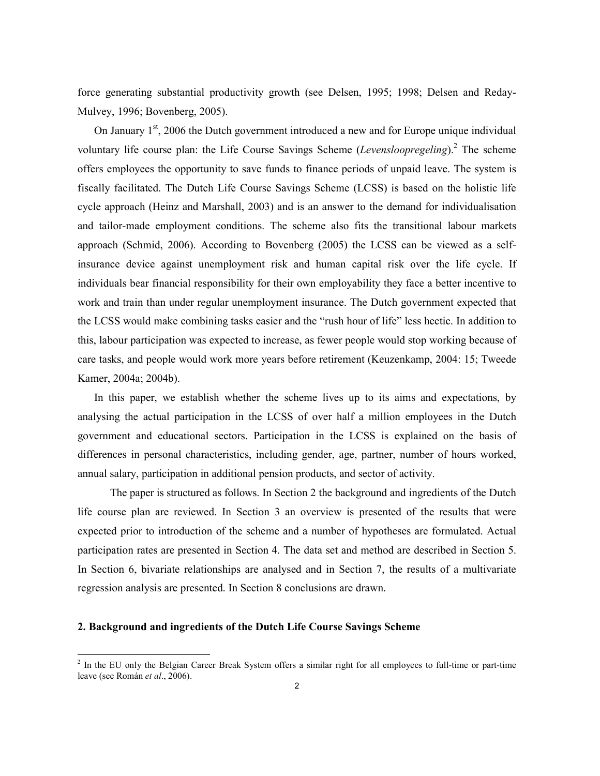force generating substantial productivity growth (see Delsen, 1995; 1998; Delsen and Reday-Mulvey, 1996; Bovenberg, 2005).

On January  $1<sup>st</sup>$ , 2006 the Dutch government introduced a new and for Europe unique individual voluntary life course plan: the Life Course Savings Scheme (Levensloopregeling).<sup>2</sup> The scheme offers employees the opportunity to save funds to finance periods of unpaid leave. The system is fiscally facilitated. The Dutch Life Course Savings Scheme (LCSS) is based on the holistic life cycle approach (Heinz and Marshall, 2003) and is an answer to the demand for individualisation and tailor-made employment conditions. The scheme also fits the transitional labour markets approach (Schmid, 2006). According to Bovenberg (2005) the LCSS can be viewed as a selfinsurance device against unemployment risk and human capital risk over the life cycle. If individuals bear financial responsibility for their own employability they face a better incentive to work and train than under regular unemployment insurance. The Dutch government expected that the LCSS would make combining tasks easier and the "rush hour of life" less hectic. In addition to this, labour participation was expected to increase, as fewer people would stop working because of care tasks, and people would work more years before retirement (Keuzenkamp, 2004: 15; Tweede Kamer, 2004a; 2004b).

In this paper, we establish whether the scheme lives up to its aims and expectations, by analysing the actual participation in the LCSS of over half a million employees in the Dutch government and educational sectors. Participation in the LCSS is explained on the basis of differences in personal characteristics, including gender, age, partner, number of hours worked, annual salary, participation in additional pension products, and sector of activity.

The paper is structured as follows. In Section 2 the background and ingredients of the Dutch life course plan are reviewed. In Section 3 an overview is presented of the results that were expected prior to introduction of the scheme and a number of hypotheses are formulated. Actual participation rates are presented in Section 4. The data set and method are described in Section 5. In Section 6, bivariate relationships are analysed and in Section 7, the results of a multivariate regression analysis are presented. In Section 8 conclusions are drawn.

### 2. Background and ingredients of the Dutch Life Course Savings Scheme

<sup>&</sup>lt;sup>2</sup> In the EU only the Belgian Career Break System offers a similar right for all employees to full-time or part-time leave (see Román et al., 2006).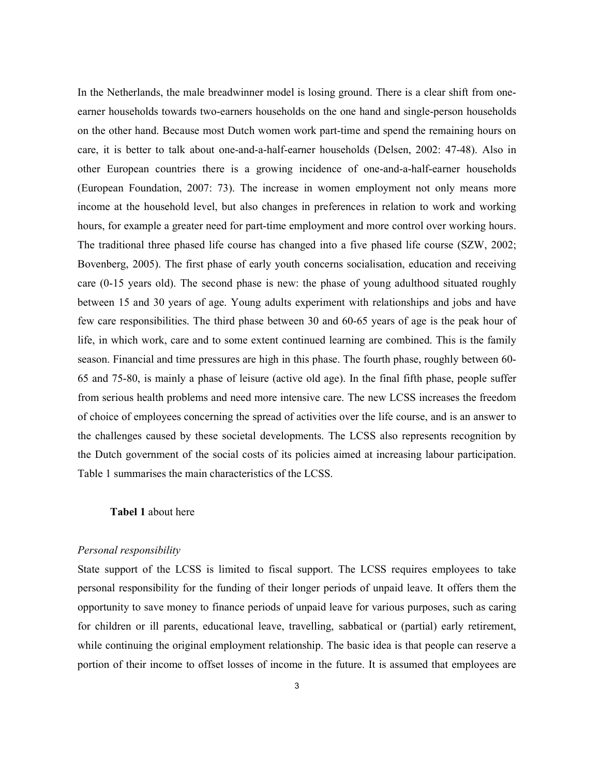In the Netherlands, the male breadwinner model is losing ground. There is a clear shift from oneearner households towards two-earners households on the one hand and single-person households on the other hand. Because most Dutch women work part-time and spend the remaining hours on care, it is better to talk about one-and-a-half-earner households (Delsen, 2002: 47-48). Also in other European countries there is a growing incidence of one-and-a-half-earner households (European Foundation, 2007: 73). The increase in women employment not only means more income at the household level, but also changes in preferences in relation to work and working hours, for example a greater need for part-time employment and more control over working hours. The traditional three phased life course has changed into a five phased life course (SZW, 2002; Bovenberg, 2005). The first phase of early youth concerns socialisation, education and receiving care (0-15 years old). The second phase is new: the phase of young adulthood situated roughly between 15 and 30 years of age. Young adults experiment with relationships and jobs and have few care responsibilities. The third phase between 30 and 60-65 years of age is the peak hour of life, in which work, care and to some extent continued learning are combined. This is the family season. Financial and time pressures are high in this phase. The fourth phase, roughly between 60- 65 and 75-80, is mainly a phase of leisure (active old age). In the final fifth phase, people suffer from serious health problems and need more intensive care. The new LCSS increases the freedom of choice of employees concerning the spread of activities over the life course, and is an answer to the challenges caused by these societal developments. The LCSS also represents recognition by the Dutch government of the social costs of its policies aimed at increasing labour participation. Table 1 summarises the main characteristics of the LCSS.

## Tabel 1 about here

### Personal responsibility

State support of the LCSS is limited to fiscal support. The LCSS requires employees to take personal responsibility for the funding of their longer periods of unpaid leave. It offers them the opportunity to save money to finance periods of unpaid leave for various purposes, such as caring for children or ill parents, educational leave, travelling, sabbatical or (partial) early retirement, while continuing the original employment relationship. The basic idea is that people can reserve a portion of their income to offset losses of income in the future. It is assumed that employees are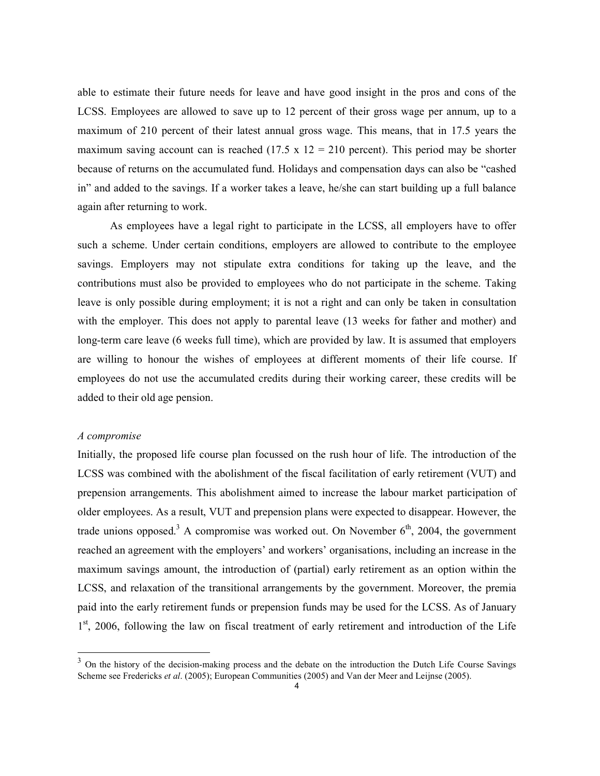able to estimate their future needs for leave and have good insight in the pros and cons of the LCSS. Employees are allowed to save up to 12 percent of their gross wage per annum, up to a maximum of 210 percent of their latest annual gross wage. This means, that in 17.5 years the maximum saving account can is reached (17.5 x  $12 = 210$  percent). This period may be shorter because of returns on the accumulated fund. Holidays and compensation days can also be "cashed in" and added to the savings. If a worker takes a leave, he/she can start building up a full balance again after returning to work.

As employees have a legal right to participate in the LCSS, all employers have to offer such a scheme. Under certain conditions, employers are allowed to contribute to the employee savings. Employers may not stipulate extra conditions for taking up the leave, and the contributions must also be provided to employees who do not participate in the scheme. Taking leave is only possible during employment; it is not a right and can only be taken in consultation with the employer. This does not apply to parental leave (13 weeks for father and mother) and long-term care leave (6 weeks full time), which are provided by law. It is assumed that employers are willing to honour the wishes of employees at different moments of their life course. If employees do not use the accumulated credits during their working career, these credits will be added to their old age pension.

### A compromise

 $\ddot{\phantom{a}}$ 

Initially, the proposed life course plan focussed on the rush hour of life. The introduction of the LCSS was combined with the abolishment of the fiscal facilitation of early retirement (VUT) and prepension arrangements. This abolishment aimed to increase the labour market participation of older employees. As a result, VUT and prepension plans were expected to disappear. However, the trade unions opposed.<sup>3</sup> A compromise was worked out. On November  $6<sup>th</sup>$ , 2004, the government reached an agreement with the employers' and workers' organisations, including an increase in the maximum savings amount, the introduction of (partial) early retirement as an option within the LCSS, and relaxation of the transitional arrangements by the government. Moreover, the premia paid into the early retirement funds or prepension funds may be used for the LCSS. As of January 1<sup>st</sup>, 2006, following the law on fiscal treatment of early retirement and introduction of the Life

 $3$  On the history of the decision-making process and the debate on the introduction the Dutch Life Course Savings Scheme see Fredericks et al. (2005); European Communities (2005) and Van der Meer and Leijnse (2005).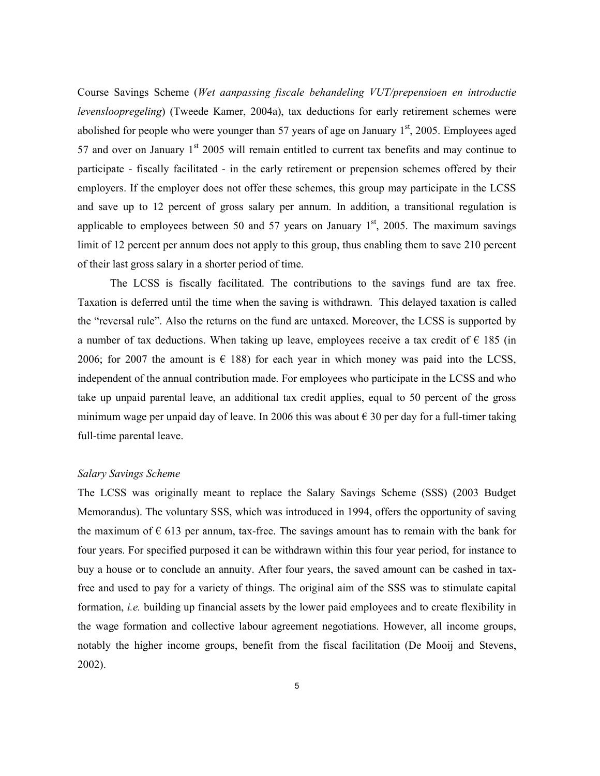Course Savings Scheme (Wet aanpassing fiscale behandeling VUT/prepensioen en introductie levensloopregeling) (Tweede Kamer, 2004a), tax deductions for early retirement schemes were abolished for people who were younger than 57 years of age on January  $1<sup>st</sup>$ , 2005. Employees aged 57 and over on January  $1<sup>st</sup>$  2005 will remain entitled to current tax benefits and may continue to participate - fiscally facilitated - in the early retirement or prepension schemes offered by their employers. If the employer does not offer these schemes, this group may participate in the LCSS and save up to 12 percent of gross salary per annum. In addition, a transitional regulation is applicable to employees between 50 and 57 years on January  $1<sup>st</sup>$ , 2005. The maximum savings limit of 12 percent per annum does not apply to this group, thus enabling them to save 210 percent of their last gross salary in a shorter period of time.

The LCSS is fiscally facilitated. The contributions to the savings fund are tax free. Taxation is deferred until the time when the saving is withdrawn. This delayed taxation is called the "reversal rule". Also the returns on the fund are untaxed. Moreover, the LCSS is supported by a number of tax deductions. When taking up leave, employees receive a tax credit of  $\epsilon$  185 (in 2006; for 2007 the amount is  $\epsilon$  188) for each year in which money was paid into the LCSS, independent of the annual contribution made. For employees who participate in the LCSS and who take up unpaid parental leave, an additional tax credit applies, equal to 50 percent of the gross minimum wage per unpaid day of leave. In 2006 this was about  $\epsilon$  30 per day for a full-timer taking full-time parental leave.

### Salary Savings Scheme

The LCSS was originally meant to replace the Salary Savings Scheme (SSS) (2003 Budget Memorandus). The voluntary SSS, which was introduced in 1994, offers the opportunity of saving the maximum of  $\epsilon$  613 per annum, tax-free. The savings amount has to remain with the bank for four years. For specified purposed it can be withdrawn within this four year period, for instance to buy a house or to conclude an annuity. After four years, the saved amount can be cashed in taxfree and used to pay for a variety of things. The original aim of the SSS was to stimulate capital formation, *i.e.* building up financial assets by the lower paid employees and to create flexibility in the wage formation and collective labour agreement negotiations. However, all income groups, notably the higher income groups, benefit from the fiscal facilitation (De Mooij and Stevens, 2002).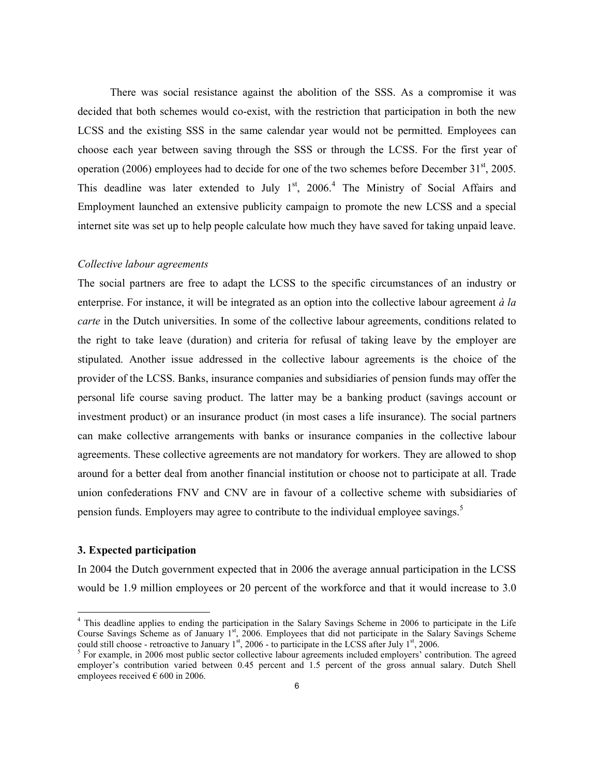There was social resistance against the abolition of the SSS. As a compromise it was decided that both schemes would co-exist, with the restriction that participation in both the new LCSS and the existing SSS in the same calendar year would not be permitted. Employees can choose each year between saving through the SSS or through the LCSS. For the first year of operation (2006) employees had to decide for one of the two schemes before December  $31<sup>st</sup>$ , 2005. This deadline was later extended to July  $1<sup>st</sup>$ , 2006.<sup>4</sup> The Ministry of Social Affairs and Employment launched an extensive publicity campaign to promote the new LCSS and a special internet site was set up to help people calculate how much they have saved for taking unpaid leave.

#### Collective labour agreements

The social partners are free to adapt the LCSS to the specific circumstances of an industry or enterprise. For instance, it will be integrated as an option into the collective labour agreement  $\dot{a}$  la carte in the Dutch universities. In some of the collective labour agreements, conditions related to the right to take leave (duration) and criteria for refusal of taking leave by the employer are stipulated. Another issue addressed in the collective labour agreements is the choice of the provider of the LCSS. Banks, insurance companies and subsidiaries of pension funds may offer the personal life course saving product. The latter may be a banking product (savings account or investment product) or an insurance product (in most cases a life insurance). The social partners can make collective arrangements with banks or insurance companies in the collective labour agreements. These collective agreements are not mandatory for workers. They are allowed to shop around for a better deal from another financial institution or choose not to participate at all. Trade union confederations FNV and CNV are in favour of a collective scheme with subsidiaries of pension funds. Employers may agree to contribute to the individual employee savings.<sup>5</sup>

### 3. Expected participation

 $\overline{a}$ 

In 2004 the Dutch government expected that in 2006 the average annual participation in the LCSS would be 1.9 million employees or 20 percent of the workforce and that it would increase to 3.0

<sup>&</sup>lt;sup>4</sup> This deadline applies to ending the participation in the Salary Savings Scheme in 2006 to participate in the Life Course Savings Scheme as of January 1<sup>st</sup>, 2006. Employees that did not participate in the Salary Savings Scheme could still choose - retroactive to January  $1^{st}$ , 2006 - to participate in the LCSS after July  $1^{st}$ , 2006.

<sup>&</sup>lt;sup>5</sup> For example, in 2006 most public sector collective labour agreements included employers' contribution. The agreed employer's contribution varied between 0.45 percent and 1.5 percent of the gross annual salary. Dutch Shell employees received  $\epsilon$  600 in 2006.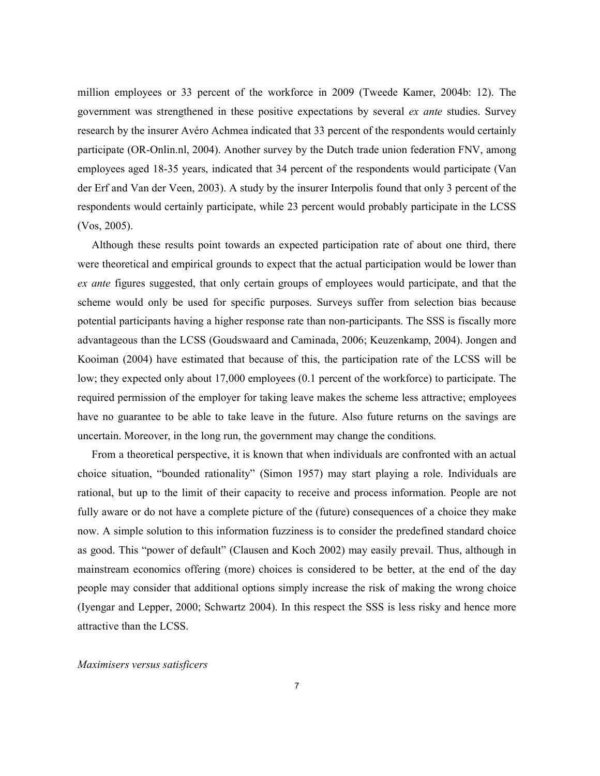million employees or 33 percent of the workforce in 2009 (Tweede Kamer, 2004b: 12). The government was strengthened in these positive expectations by several ex ante studies. Survey research by the insurer Avéro Achmea indicated that 33 percent of the respondents would certainly participate (OR-Onlin.nl, 2004). Another survey by the Dutch trade union federation FNV, among employees aged 18-35 years, indicated that 34 percent of the respondents would participate (Van der Erf and Van der Veen, 2003). A study by the insurer Interpolis found that only 3 percent of the respondents would certainly participate, while 23 percent would probably participate in the LCSS (Vos, 2005).

 Although these results point towards an expected participation rate of about one third, there were theoretical and empirical grounds to expect that the actual participation would be lower than ex ante figures suggested, that only certain groups of employees would participate, and that the scheme would only be used for specific purposes. Surveys suffer from selection bias because potential participants having a higher response rate than non-participants. The SSS is fiscally more advantageous than the LCSS (Goudswaard and Caminada, 2006; Keuzenkamp, 2004). Jongen and Kooiman (2004) have estimated that because of this, the participation rate of the LCSS will be low; they expected only about 17,000 employees (0.1 percent of the workforce) to participate. The required permission of the employer for taking leave makes the scheme less attractive; employees have no guarantee to be able to take leave in the future. Also future returns on the savings are uncertain. Moreover, in the long run, the government may change the conditions.

 From a theoretical perspective, it is known that when individuals are confronted with an actual choice situation, "bounded rationality" (Simon 1957) may start playing a role. Individuals are rational, but up to the limit of their capacity to receive and process information. People are not fully aware or do not have a complete picture of the (future) consequences of a choice they make now. A simple solution to this information fuzziness is to consider the predefined standard choice as good. This "power of default" (Clausen and Koch 2002) may easily prevail. Thus, although in mainstream economics offering (more) choices is considered to be better, at the end of the day people may consider that additional options simply increase the risk of making the wrong choice (Iyengar and Lepper, 2000; Schwartz 2004). In this respect the SSS is less risky and hence more attractive than the LCSS.

#### Maximisers versus satisficers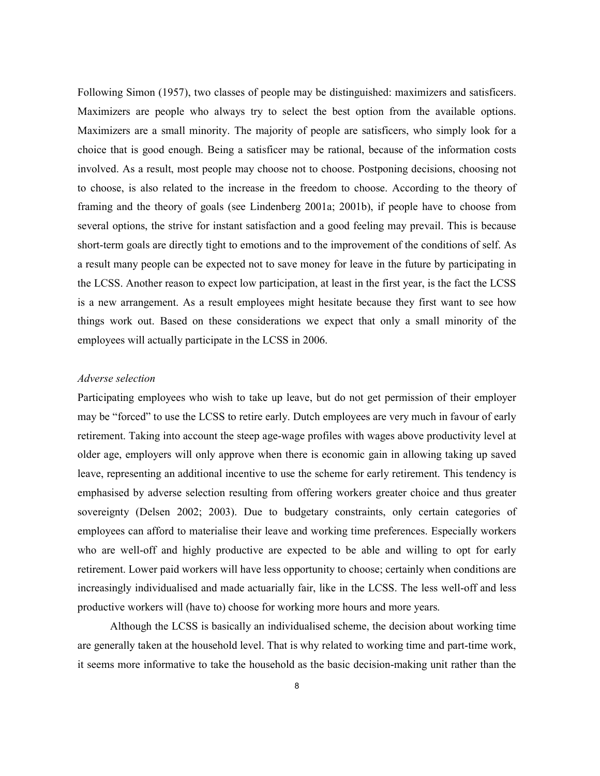Following Simon (1957), two classes of people may be distinguished: maximizers and satisficers. Maximizers are people who always try to select the best option from the available options. Maximizers are a small minority. The majority of people are satisficers, who simply look for a choice that is good enough. Being a satisficer may be rational, because of the information costs involved. As a result, most people may choose not to choose. Postponing decisions, choosing not to choose, is also related to the increase in the freedom to choose. According to the theory of framing and the theory of goals (see Lindenberg 2001a; 2001b), if people have to choose from several options, the strive for instant satisfaction and a good feeling may prevail. This is because short-term goals are directly tight to emotions and to the improvement of the conditions of self. As a result many people can be expected not to save money for leave in the future by participating in the LCSS. Another reason to expect low participation, at least in the first year, is the fact the LCSS is a new arrangement. As a result employees might hesitate because they first want to see how things work out. Based on these considerations we expect that only a small minority of the employees will actually participate in the LCSS in 2006.

### Adverse selection

Participating employees who wish to take up leave, but do not get permission of their employer may be "forced" to use the LCSS to retire early. Dutch employees are very much in favour of early retirement. Taking into account the steep age-wage profiles with wages above productivity level at older age, employers will only approve when there is economic gain in allowing taking up saved leave, representing an additional incentive to use the scheme for early retirement. This tendency is emphasised by adverse selection resulting from offering workers greater choice and thus greater sovereignty (Delsen 2002; 2003). Due to budgetary constraints, only certain categories of employees can afford to materialise their leave and working time preferences. Especially workers who are well-off and highly productive are expected to be able and willing to opt for early retirement. Lower paid workers will have less opportunity to choose; certainly when conditions are increasingly individualised and made actuarially fair, like in the LCSS. The less well-off and less productive workers will (have to) choose for working more hours and more years.

Although the LCSS is basically an individualised scheme, the decision about working time are generally taken at the household level. That is why related to working time and part-time work, it seems more informative to take the household as the basic decision-making unit rather than the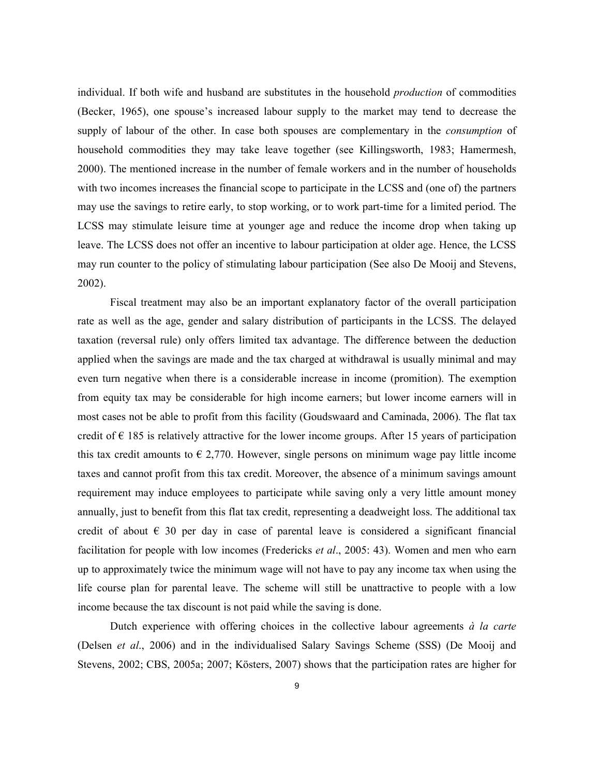individual. If both wife and husband are substitutes in the household *production* of commodities (Becker, 1965), one spouse's increased labour supply to the market may tend to decrease the supply of labour of the other. In case both spouses are complementary in the *consumption* of household commodities they may take leave together (see Killingsworth, 1983; Hamermesh, 2000). The mentioned increase in the number of female workers and in the number of households with two incomes increases the financial scope to participate in the LCSS and (one of) the partners may use the savings to retire early, to stop working, or to work part-time for a limited period. The LCSS may stimulate leisure time at younger age and reduce the income drop when taking up leave. The LCSS does not offer an incentive to labour participation at older age. Hence, the LCSS may run counter to the policy of stimulating labour participation (See also De Mooij and Stevens, 2002).

 Fiscal treatment may also be an important explanatory factor of the overall participation rate as well as the age, gender and salary distribution of participants in the LCSS. The delayed taxation (reversal rule) only offers limited tax advantage. The difference between the deduction applied when the savings are made and the tax charged at withdrawal is usually minimal and may even turn negative when there is a considerable increase in income (promition). The exemption from equity tax may be considerable for high income earners; but lower income earners will in most cases not be able to profit from this facility (Goudswaard and Caminada, 2006). The flat tax credit of  $\epsilon$  185 is relatively attractive for the lower income groups. After 15 years of participation this tax credit amounts to  $\epsilon$  2,770. However, single persons on minimum wage pay little income taxes and cannot profit from this tax credit. Moreover, the absence of a minimum savings amount requirement may induce employees to participate while saving only a very little amount money annually, just to benefit from this flat tax credit, representing a deadweight loss. The additional tax credit of about  $\epsilon$  30 per day in case of parental leave is considered a significant financial facilitation for people with low incomes (Fredericks et al., 2005: 43). Women and men who earn up to approximately twice the minimum wage will not have to pay any income tax when using the life course plan for parental leave. The scheme will still be unattractive to people with a low income because the tax discount is not paid while the saving is done.

Dutch experience with offering choices in the collective labour agreements  $\dot{a}$  la carte (Delsen et al., 2006) and in the individualised Salary Savings Scheme (SSS) (De Mooij and Stevens, 2002; CBS, 2005a; 2007; Kösters, 2007) shows that the participation rates are higher for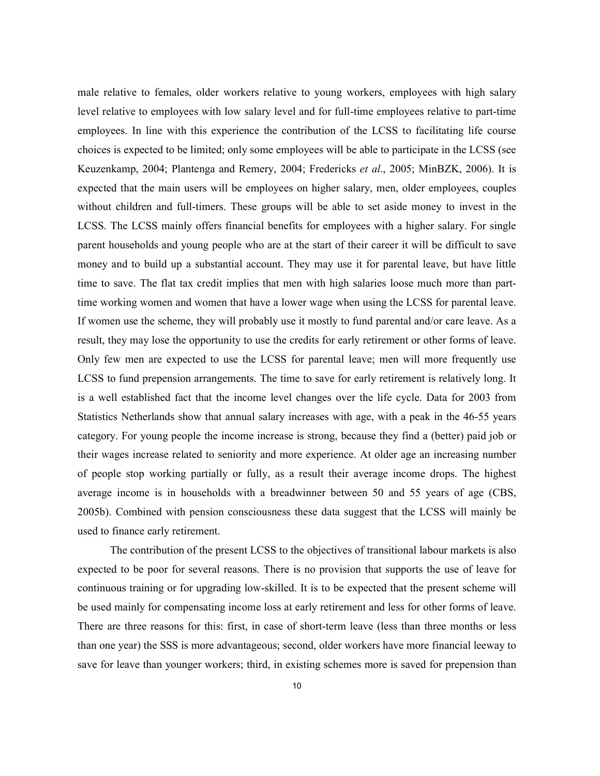male relative to females, older workers relative to young workers, employees with high salary level relative to employees with low salary level and for full-time employees relative to part-time employees. In line with this experience the contribution of the LCSS to facilitating life course choices is expected to be limited; only some employees will be able to participate in the LCSS (see Keuzenkamp, 2004; Plantenga and Remery, 2004; Fredericks *et al.*, 2005; MinBZK, 2006). It is expected that the main users will be employees on higher salary, men, older employees, couples without children and full-timers. These groups will be able to set aside money to invest in the LCSS. The LCSS mainly offers financial benefits for employees with a higher salary. For single parent households and young people who are at the start of their career it will be difficult to save money and to build up a substantial account. They may use it for parental leave, but have little time to save. The flat tax credit implies that men with high salaries loose much more than parttime working women and women that have a lower wage when using the LCSS for parental leave. If women use the scheme, they will probably use it mostly to fund parental and/or care leave. As a result, they may lose the opportunity to use the credits for early retirement or other forms of leave. Only few men are expected to use the LCSS for parental leave; men will more frequently use LCSS to fund prepension arrangements. The time to save for early retirement is relatively long. It is a well established fact that the income level changes over the life cycle. Data for 2003 from Statistics Netherlands show that annual salary increases with age, with a peak in the 46-55 years category. For young people the income increase is strong, because they find a (better) paid job or their wages increase related to seniority and more experience. At older age an increasing number of people stop working partially or fully, as a result their average income drops. The highest average income is in households with a breadwinner between 50 and 55 years of age (CBS, 2005b). Combined with pension consciousness these data suggest that the LCSS will mainly be used to finance early retirement.

 The contribution of the present LCSS to the objectives of transitional labour markets is also expected to be poor for several reasons. There is no provision that supports the use of leave for continuous training or for upgrading low-skilled. It is to be expected that the present scheme will be used mainly for compensating income loss at early retirement and less for other forms of leave. There are three reasons for this: first, in case of short-term leave (less than three months or less than one year) the SSS is more advantageous; second, older workers have more financial leeway to save for leave than younger workers; third, in existing schemes more is saved for prepension than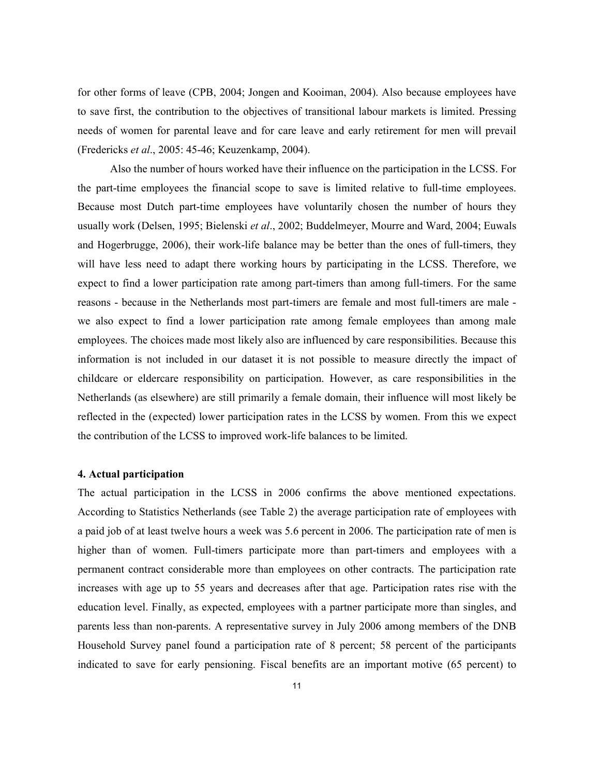for other forms of leave (CPB, 2004; Jongen and Kooiman, 2004). Also because employees have to save first, the contribution to the objectives of transitional labour markets is limited. Pressing needs of women for parental leave and for care leave and early retirement for men will prevail (Fredericks et al., 2005: 45-46; Keuzenkamp, 2004).

 Also the number of hours worked have their influence on the participation in the LCSS. For the part-time employees the financial scope to save is limited relative to full-time employees. Because most Dutch part-time employees have voluntarily chosen the number of hours they usually work (Delsen, 1995; Bielenski et al., 2002; Buddelmeyer, Mourre and Ward, 2004; Euwals and Hogerbrugge, 2006), their work-life balance may be better than the ones of full-timers, they will have less need to adapt there working hours by participating in the LCSS. Therefore, we expect to find a lower participation rate among part-timers than among full-timers. For the same reasons - because in the Netherlands most part-timers are female and most full-timers are male we also expect to find a lower participation rate among female employees than among male employees. The choices made most likely also are influenced by care responsibilities. Because this information is not included in our dataset it is not possible to measure directly the impact of childcare or eldercare responsibility on participation. However, as care responsibilities in the Netherlands (as elsewhere) are still primarily a female domain, their influence will most likely be reflected in the (expected) lower participation rates in the LCSS by women. From this we expect the contribution of the LCSS to improved work-life balances to be limited.

### 4. Actual participation

The actual participation in the LCSS in 2006 confirms the above mentioned expectations. According to Statistics Netherlands (see Table 2) the average participation rate of employees with a paid job of at least twelve hours a week was 5.6 percent in 2006. The participation rate of men is higher than of women. Full-timers participate more than part-timers and employees with a permanent contract considerable more than employees on other contracts. The participation rate increases with age up to 55 years and decreases after that age. Participation rates rise with the education level. Finally, as expected, employees with a partner participate more than singles, and parents less than non-parents. A representative survey in July 2006 among members of the DNB Household Survey panel found a participation rate of 8 percent; 58 percent of the participants indicated to save for early pensioning. Fiscal benefits are an important motive (65 percent) to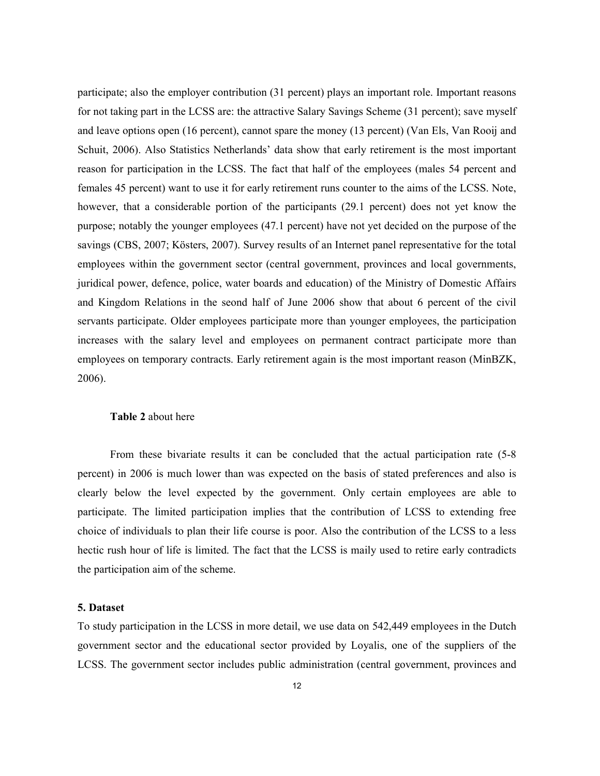participate; also the employer contribution (31 percent) plays an important role. Important reasons for not taking part in the LCSS are: the attractive Salary Savings Scheme (31 percent); save myself and leave options open (16 percent), cannot spare the money (13 percent) (Van Els, Van Rooij and Schuit, 2006). Also Statistics Netherlands' data show that early retirement is the most important reason for participation in the LCSS. The fact that half of the employees (males 54 percent and females 45 percent) want to use it for early retirement runs counter to the aims of the LCSS. Note, however, that a considerable portion of the participants (29.1 percent) does not yet know the purpose; notably the younger employees (47.1 percent) have not yet decided on the purpose of the savings (CBS, 2007; Kösters, 2007). Survey results of an Internet panel representative for the total employees within the government sector (central government, provinces and local governments, juridical power, defence, police, water boards and education) of the Ministry of Domestic Affairs and Kingdom Relations in the seond half of June 2006 show that about 6 percent of the civil servants participate. Older employees participate more than younger employees, the participation increases with the salary level and employees on permanent contract participate more than employees on temporary contracts. Early retirement again is the most important reason (MinBZK, 2006).

#### Table 2 about here

From these bivariate results it can be concluded that the actual participation rate (5-8 percent) in 2006 is much lower than was expected on the basis of stated preferences and also is clearly below the level expected by the government. Only certain employees are able to participate. The limited participation implies that the contribution of LCSS to extending free choice of individuals to plan their life course is poor. Also the contribution of the LCSS to a less hectic rush hour of life is limited. The fact that the LCSS is maily used to retire early contradicts the participation aim of the scheme.

#### 5. Dataset

To study participation in the LCSS in more detail, we use data on 542,449 employees in the Dutch government sector and the educational sector provided by Loyalis, one of the suppliers of the LCSS. The government sector includes public administration (central government, provinces and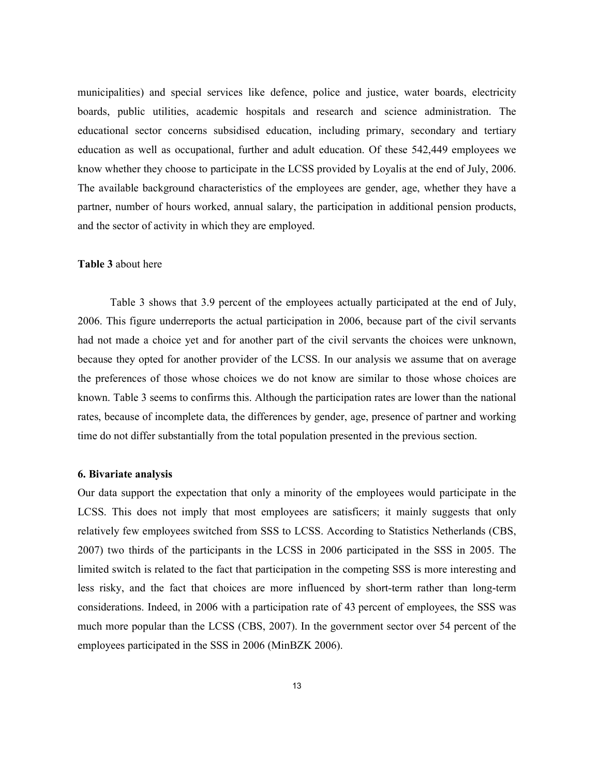municipalities) and special services like defence, police and justice, water boards, electricity boards, public utilities, academic hospitals and research and science administration. The educational sector concerns subsidised education, including primary, secondary and tertiary education as well as occupational, further and adult education. Of these 542,449 employees we know whether they choose to participate in the LCSS provided by Loyalis at the end of July, 2006. The available background characteristics of the employees are gender, age, whether they have a partner, number of hours worked, annual salary, the participation in additional pension products, and the sector of activity in which they are employed.

### Table 3 about here

Table 3 shows that 3.9 percent of the employees actually participated at the end of July, 2006. This figure underreports the actual participation in 2006, because part of the civil servants had not made a choice yet and for another part of the civil servants the choices were unknown, because they opted for another provider of the LCSS. In our analysis we assume that on average the preferences of those whose choices we do not know are similar to those whose choices are known. Table 3 seems to confirms this. Although the participation rates are lower than the national rates, because of incomplete data, the differences by gender, age, presence of partner and working time do not differ substantially from the total population presented in the previous section.

### 6. Bivariate analysis

Our data support the expectation that only a minority of the employees would participate in the LCSS. This does not imply that most employees are satisficers; it mainly suggests that only relatively few employees switched from SSS to LCSS. According to Statistics Netherlands (CBS, 2007) two thirds of the participants in the LCSS in 2006 participated in the SSS in 2005. The limited switch is related to the fact that participation in the competing SSS is more interesting and less risky, and the fact that choices are more influenced by short-term rather than long-term considerations. Indeed, in 2006 with a participation rate of 43 percent of employees, the SSS was much more popular than the LCSS (CBS, 2007). In the government sector over 54 percent of the employees participated in the SSS in 2006 (MinBZK 2006).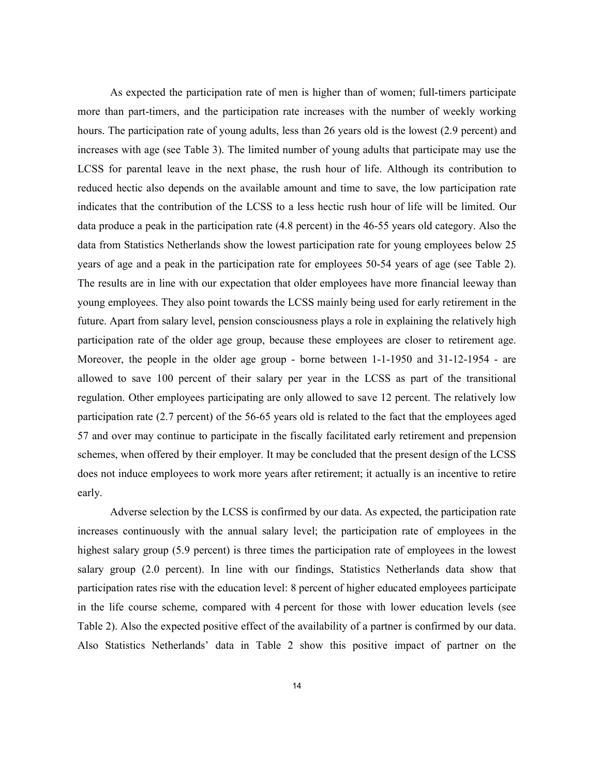As expected the participation rate of men is higher than of women; full-timers participate more than part-timers, and the participation rate increases with the number of weekly working hours. The participation rate of young adults, less than 26 years old is the lowest (2.9 percent) and increases with age (see Table 3). The limited number of young adults that participate may use the LCSS for parental leave in the next phase, the rush hour of life. Although its contribution to reduced hectic also depends on the available amount and time to save, the low participation rate indicates that the contribution of the LCSS to a less hectic rush hour of life will be limited. Our data produce a peak in the participation rate (4.8 percent) in the 46-55 years old category. Also the data from Statistics Netherlands show the lowest participation rate for young employees below 25 years of age and a peak in the participation rate for employees 50-54 years of age (see Table 2). The results are in line with our expectation that older employees have more financial leeway than young employees. They also point towards the LCSS mainly being used for early retirement in the future. Apart from salary level, pension consciousness plays a role in explaining the relatively high participation rate of the older age group, because these employees are closer to retirement age. Moreover, the people in the older age group - borne between 1-1-1950 and 31-12-1954 - are allowed to save 100 percent of their salary per year in the LCSS as part of the transitional regulation. Other employees participating are only allowed to save 12 percent. The relatively low participation rate (2.7 percent) of the 56-65 years old is related to the fact that the employees aged 57 and over may continue to participate in the fiscally facilitated early retirement and prepension schemes, when offered by their employer. It may be concluded that the present design of the LCSS does not induce employees to work more years after retirement; it actually is an incentive to retire early.

 Adverse selection by the LCSS is confirmed by our data. As expected, the participation rate increases continuously with the annual salary level; the participation rate of employees in the highest salary group (5.9 percent) is three times the participation rate of employees in the lowest salary group (2.0 percent). In line with our findings, Statistics Netherlands data show that participation rates rise with the education level: 8 percent of higher educated employees participate in the life course scheme, compared with 4 percent for those with lower education levels (see Table 2). Also the expected positive effect of the availability of a partner is confirmed by our data. Also Statistics Netherlands' data in Table 2 show this positive impact of partner on the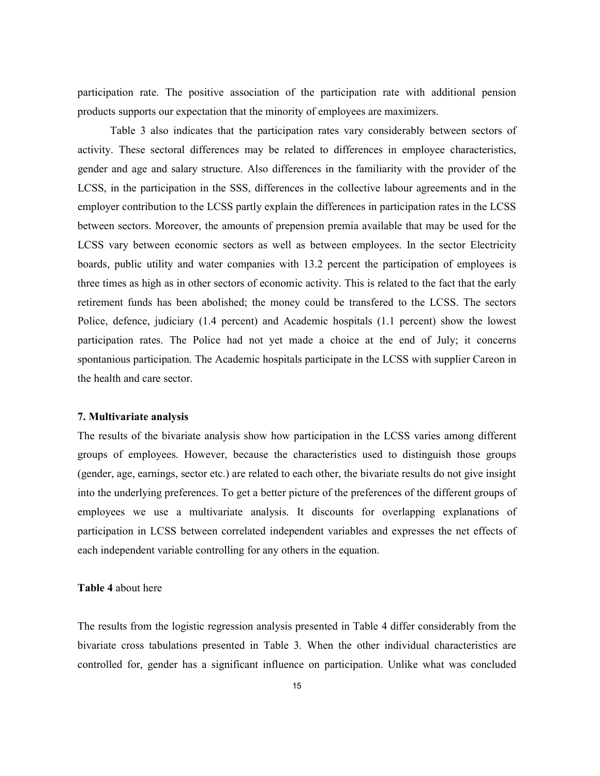participation rate. The positive association of the participation rate with additional pension products supports our expectation that the minority of employees are maximizers.

Table 3 also indicates that the participation rates vary considerably between sectors of activity. These sectoral differences may be related to differences in employee characteristics, gender and age and salary structure. Also differences in the familiarity with the provider of the LCSS, in the participation in the SSS, differences in the collective labour agreements and in the employer contribution to the LCSS partly explain the differences in participation rates in the LCSS between sectors. Moreover, the amounts of prepension premia available that may be used for the LCSS vary between economic sectors as well as between employees. In the sector Electricity boards, public utility and water companies with 13.2 percent the participation of employees is three times as high as in other sectors of economic activity. This is related to the fact that the early retirement funds has been abolished; the money could be transfered to the LCSS. The sectors Police, defence, judiciary (1.4 percent) and Academic hospitals (1.1 percent) show the lowest participation rates. The Police had not yet made a choice at the end of July; it concerns spontanious participation. The Academic hospitals participate in the LCSS with supplier Careon in the health and care sector.

#### 7. Multivariate analysis

The results of the bivariate analysis show how participation in the LCSS varies among different groups of employees. However, because the characteristics used to distinguish those groups (gender, age, earnings, sector etc.) are related to each other, the bivariate results do not give insight into the underlying preferences. To get a better picture of the preferences of the different groups of employees we use a multivariate analysis. It discounts for overlapping explanations of participation in LCSS between correlated independent variables and expresses the net effects of each independent variable controlling for any others in the equation.

### Table 4 about here

The results from the logistic regression analysis presented in Table 4 differ considerably from the bivariate cross tabulations presented in Table 3. When the other individual characteristics are controlled for, gender has a significant influence on participation. Unlike what was concluded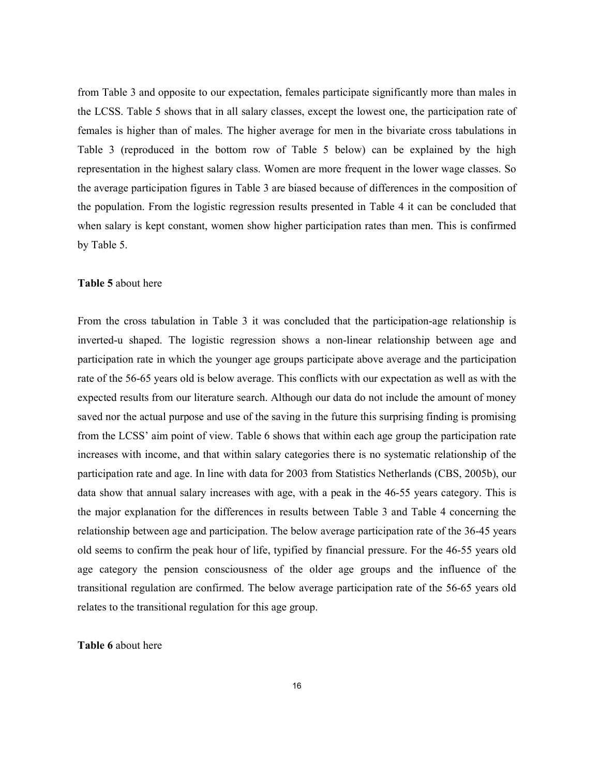from Table 3 and opposite to our expectation, females participate significantly more than males in the LCSS. Table 5 shows that in all salary classes, except the lowest one, the participation rate of females is higher than of males. The higher average for men in the bivariate cross tabulations in Table 3 (reproduced in the bottom row of Table 5 below) can be explained by the high representation in the highest salary class. Women are more frequent in the lower wage classes. So the average participation figures in Table 3 are biased because of differences in the composition of the population. From the logistic regression results presented in Table 4 it can be concluded that when salary is kept constant, women show higher participation rates than men. This is confirmed by Table 5.

#### Table 5 about here

From the cross tabulation in Table 3 it was concluded that the participation-age relationship is inverted-u shaped. The logistic regression shows a non-linear relationship between age and participation rate in which the younger age groups participate above average and the participation rate of the 56-65 years old is below average. This conflicts with our expectation as well as with the expected results from our literature search. Although our data do not include the amount of money saved nor the actual purpose and use of the saving in the future this surprising finding is promising from the LCSS' aim point of view. Table 6 shows that within each age group the participation rate increases with income, and that within salary categories there is no systematic relationship of the participation rate and age. In line with data for 2003 from Statistics Netherlands (CBS, 2005b), our data show that annual salary increases with age, with a peak in the 46-55 years category. This is the major explanation for the differences in results between Table 3 and Table 4 concerning the relationship between age and participation. The below average participation rate of the 36-45 years old seems to confirm the peak hour of life, typified by financial pressure. For the 46-55 years old age category the pension consciousness of the older age groups and the influence of the transitional regulation are confirmed. The below average participation rate of the 56-65 years old relates to the transitional regulation for this age group.

#### Table 6 about here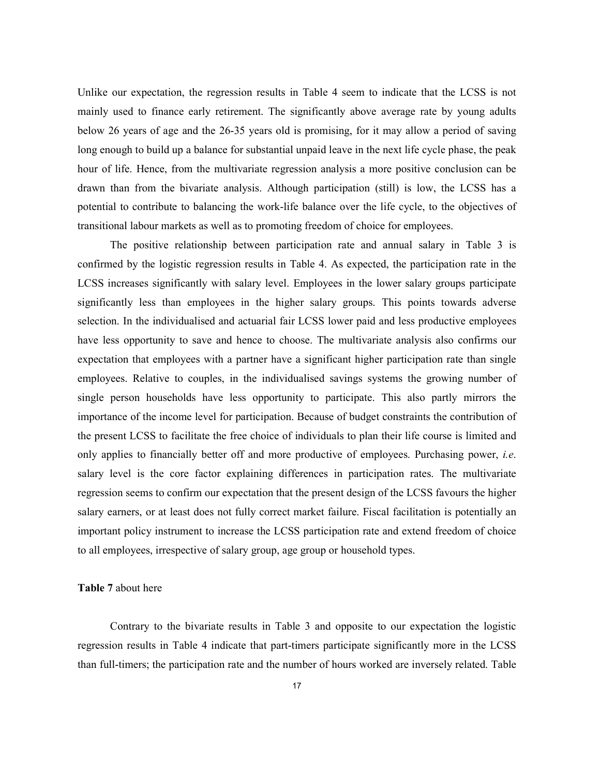Unlike our expectation, the regression results in Table 4 seem to indicate that the LCSS is not mainly used to finance early retirement. The significantly above average rate by young adults below 26 years of age and the 26-35 years old is promising, for it may allow a period of saving long enough to build up a balance for substantial unpaid leave in the next life cycle phase, the peak hour of life. Hence, from the multivariate regression analysis a more positive conclusion can be drawn than from the bivariate analysis. Although participation (still) is low, the LCSS has a potential to contribute to balancing the work-life balance over the life cycle, to the objectives of transitional labour markets as well as to promoting freedom of choice for employees.

The positive relationship between participation rate and annual salary in Table 3 is confirmed by the logistic regression results in Table 4. As expected, the participation rate in the LCSS increases significantly with salary level. Employees in the lower salary groups participate significantly less than employees in the higher salary groups. This points towards adverse selection. In the individualised and actuarial fair LCSS lower paid and less productive employees have less opportunity to save and hence to choose. The multivariate analysis also confirms our expectation that employees with a partner have a significant higher participation rate than single employees. Relative to couples, in the individualised savings systems the growing number of single person households have less opportunity to participate. This also partly mirrors the importance of the income level for participation. Because of budget constraints the contribution of the present LCSS to facilitate the free choice of individuals to plan their life course is limited and only applies to financially better off and more productive of employees. Purchasing power, i.e. salary level is the core factor explaining differences in participation rates. The multivariate regression seems to confirm our expectation that the present design of the LCSS favours the higher salary earners, or at least does not fully correct market failure. Fiscal facilitation is potentially an important policy instrument to increase the LCSS participation rate and extend freedom of choice to all employees, irrespective of salary group, age group or household types.

### Table 7 about here

Contrary to the bivariate results in Table 3 and opposite to our expectation the logistic regression results in Table 4 indicate that part-timers participate significantly more in the LCSS than full-timers; the participation rate and the number of hours worked are inversely related. Table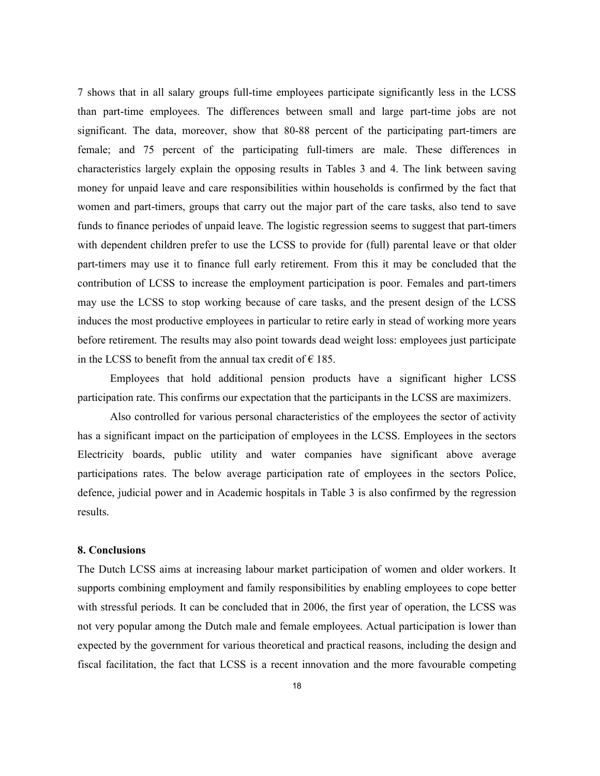7 shows that in all salary groups full-time employees participate significantly less in the LCSS than part-time employees. The differences between small and large part-time jobs are not significant. The data, moreover, show that 80-88 percent of the participating part-timers are female; and 75 percent of the participating full-timers are male. These differences in characteristics largely explain the opposing results in Tables 3 and 4. The link between saving money for unpaid leave and care responsibilities within households is confirmed by the fact that women and part-timers, groups that carry out the major part of the care tasks, also tend to save funds to finance periodes of unpaid leave. The logistic regression seems to suggest that part-timers with dependent children prefer to use the LCSS to provide for (full) parental leave or that older part-timers may use it to finance full early retirement. From this it may be concluded that the contribution of LCSS to increase the employment participation is poor. Females and part-timers may use the LCSS to stop working because of care tasks, and the present design of the LCSS induces the most productive employees in particular to retire early in stead of working more years before retirement. The results may also point towards dead weight loss: employees just participate in the LCSS to benefit from the annual tax credit of  $\epsilon$  185.

 Employees that hold additional pension products have a significant higher LCSS participation rate. This confirms our expectation that the participants in the LCSS are maximizers.

 Also controlled for various personal characteristics of the employees the sector of activity has a significant impact on the participation of employees in the LCSS. Employees in the sectors Electricity boards, public utility and water companies have significant above average participations rates. The below average participation rate of employees in the sectors Police, defence, judicial power and in Academic hospitals in Table 3 is also confirmed by the regression results.

### 8. Conclusions

The Dutch LCSS aims at increasing labour market participation of women and older workers. It supports combining employment and family responsibilities by enabling employees to cope better with stressful periods. It can be concluded that in 2006, the first year of operation, the LCSS was not very popular among the Dutch male and female employees. Actual participation is lower than expected by the government for various theoretical and practical reasons, including the design and fiscal facilitation, the fact that LCSS is a recent innovation and the more favourable competing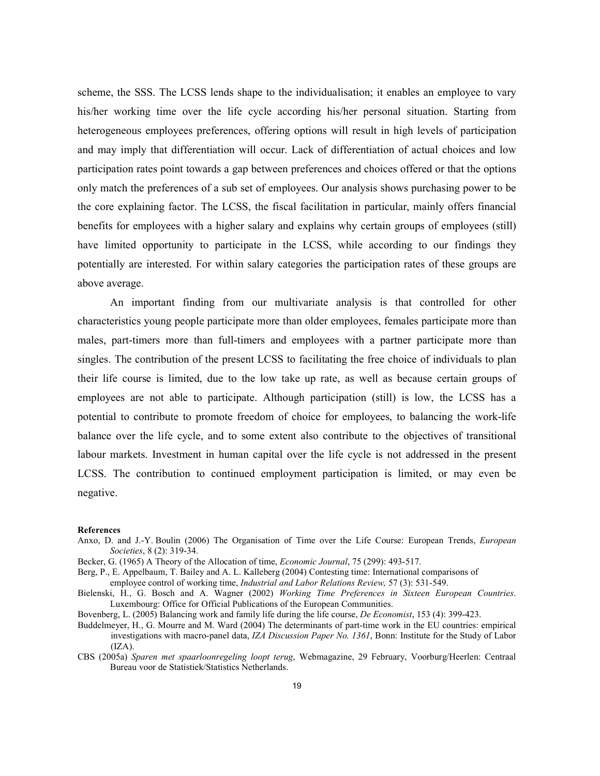scheme, the SSS. The LCSS lends shape to the individualisation; it enables an employee to vary his/her working time over the life cycle according his/her personal situation. Starting from heterogeneous employees preferences, offering options will result in high levels of participation and may imply that differentiation will occur. Lack of differentiation of actual choices and low participation rates point towards a gap between preferences and choices offered or that the options only match the preferences of a sub set of employees. Our analysis shows purchasing power to be the core explaining factor. The LCSS, the fiscal facilitation in particular, mainly offers financial benefits for employees with a higher salary and explains why certain groups of employees (still) have limited opportunity to participate in the LCSS, while according to our findings they potentially are interested. For within salary categories the participation rates of these groups are above average.

 An important finding from our multivariate analysis is that controlled for other characteristics young people participate more than older employees, females participate more than males, part-timers more than full-timers and employees with a partner participate more than singles. The contribution of the present LCSS to facilitating the free choice of individuals to plan their life course is limited, due to the low take up rate, as well as because certain groups of employees are not able to participate. Although participation (still) is low, the LCSS has a potential to contribute to promote freedom of choice for employees, to balancing the work-life balance over the life cycle, and to some extent also contribute to the objectives of transitional labour markets. Investment in human capital over the life cycle is not addressed in the present LCSS. The contribution to continued employment participation is limited, or may even be negative.

#### References

- Anxo, D. and J.-Y. Boulin (2006) The Organisation of Time over the Life Course: European Trends, *European* Societies, 8 (2): 319-34.
- Becker, G. (1965) A Theory of the Allocation of time, *Economic Journal*, 75 (299): 493-517.
- Berg, P., E. Appelbaum, T. Bailey and A. L. Kalleberg (2004) Contesting time: International comparisons of employee control of working time, Industrial and Labor Relations Review, 57 (3): 531-549.
- Bielenski, H., G. Bosch and A. Wagner (2002) Working Time Preferences in Sixteen European Countries. Luxembourg: Office for Official Publications of the European Communities.
- Bovenberg, L. (2005) Balancing work and family life during the life course, De Economist, 153 (4): 399-423.
- Buddelmeyer, H., G. Mourre and M. Ward (2004) The determinants of part-time work in the EU countries: empirical investigations with macro-panel data, IZA Discussion Paper No. 1361, Bonn: Institute for the Study of Labor  $(IZA).$
- CBS (2005a) Sparen met spaarloonregeling loopt terug, Webmagazine, 29 February, Voorburg/Heerlen: Centraal Bureau voor de Statistiek/Statistics Netherlands.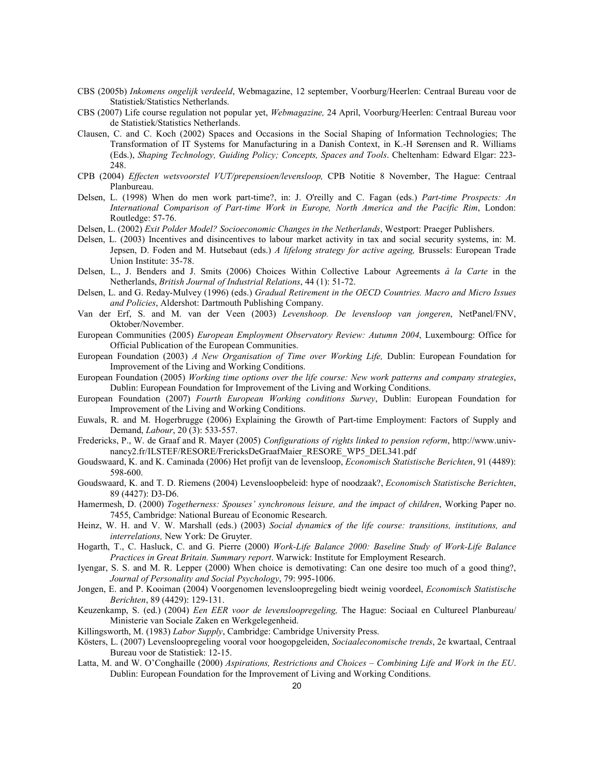- CBS (2005b) Inkomens ongelijk verdeeld, Webmagazine, 12 september, Voorburg/Heerlen: Centraal Bureau voor de Statistiek/Statistics Netherlands.
- CBS (2007) Life course regulation not popular yet, Webmagazine, 24 April, Voorburg/Heerlen: Centraal Bureau voor de Statistiek/Statistics Netherlands.
- Clausen, C. and C. Koch (2002) Spaces and Occasions in the Social Shaping of Information Technologies; The Transformation of IT Systems for Manufacturing in a Danish Context, in K.-H Sørensen and R. Williams (Eds.), Shaping Technology, Guiding Policy; Concepts, Spaces and Tools. Cheltenham: Edward Elgar: 223- 248.
- CPB (2004) Effecten wetsvoorstel VUT/prepensioen/levensloop, CPB Notitie 8 November, The Hague: Centraal Planbureau.
- Delsen, L. (1998) When do men work part-time?, in: J. O'reilly and C. Fagan (eds.) Part-time Prospects: An International Comparison of Part-time Work in Europe, North America and the Pacific Rim, London: Routledge: 57-76.
- Delsen, L. (2002) Exit Polder Model? Socioeconomic Changes in the Netherlands, Westport: Praeger Publishers.
- Delsen, L. (2003) Incentives and disincentives to labour market activity in tax and social security systems, in: M. Jepsen, D. Foden and M. Hutsebaut (eds.) A lifelong strategy for active ageing, Brussels: European Trade Union Institute: 35-78.
- Delsen, L., J. Benders and J. Smits (2006) Choices Within Collective Labour Agreements à la Carte in the Netherlands, British Journal of Industrial Relations, 44 (1): 51-72.
- Delsen, L. and G. Reday-Mulvey (1996) (eds.) Gradual Retirement in the OECD Countries. Macro and Micro Issues and Policies, Aldershot: Dartmouth Publishing Company.
- Van der Erf, S. and M. van der Veen (2003) Levenshoop. De levensloop van jongeren, NetPanel/FNV, Oktober/November.
- European Communities (2005) European Employment Observatory Review: Autumn 2004, Luxembourg: Office for Official Publication of the European Communities.
- European Foundation (2003) A New Organisation of Time over Working Life, Dublin: European Foundation for Improvement of the Living and Working Conditions.
- European Foundation (2005) Working time options over the life course: New work patterns and company strategies, Dublin: European Foundation for Improvement of the Living and Working Conditions.
- European Foundation (2007) Fourth European Working conditions Survey, Dublin: European Foundation for Improvement of the Living and Working Conditions.
- Euwals, R. and M. Hogerbrugge (2006) Explaining the Growth of Part-time Employment: Factors of Supply and Demand, Labour, 20 (3): 533-557.
- Fredericks, P., W. de Graaf and R. Mayer (2005) Configurations of rights linked to pension reform, http://www.univnancy2.fr/ILSTEF/RESORE/FrericksDeGraafMaier\_RESORE\_WP5\_DEL341.pdf
- Goudswaard, K. and K. Caminada (2006) Het profijt van de levensloop, Economisch Statistische Berichten, 91 (4489): 598-600.
- Goudswaard, K. and T. D. Riemens (2004) Levensloopbeleid: hype of noodzaak?, Economisch Statistische Berichten, 89 (4427): D3-D6.
- Hamermesh, D. (2000) Togetherness: Spouses' synchronous leisure, and the impact of children, Working Paper no. 7455, Cambridge: National Bureau of Economic Research.
- Heinz, W. H. and V. W. Marshall (eds.) (2003) Social dynamics of the life course: transitions, institutions, and interrelations, New York: De Gruyter.
- Hogarth, T., C. Hasluck, C. and G. Pierre (2000) Work-Life Balance 2000: Baseline Study of Work-Life Balance Practices in Great Britain. Summary report. Warwick: Institute for Employment Research.
- Iyengar, S. S. and M. R. Lepper (2000) When choice is demotivating: Can one desire too much of a good thing?, Journal of Personality and Social Psychology, 79: 995-1006.
- Jongen, E. and P. Kooiman (2004) Voorgenomen levensloopregeling biedt weinig voordeel, Economisch Statistische Berichten, 89 (4429): 129-131.
- Keuzenkamp, S. (ed.) (2004) Een EER voor de levensloopregeling, The Hague: Sociaal en Cultureel Planbureau/ Ministerie van Sociale Zaken en Werkgelegenheid.

Killingsworth, M. (1983) Labor Supply, Cambridge: Cambridge University Press.

- Kösters, L. (2007) Levensloopregeling vooral voor hoogopgeleiden, Sociaaleconomische trends, 2e kwartaal, Centraal Bureau voor de Statistiek: 12-15.
- Latta, M. and W. O'Conghaille (2000) Aspirations, Restrictions and Choices Combining Life and Work in the EU. Dublin: European Foundation for the Improvement of Living and Working Conditions.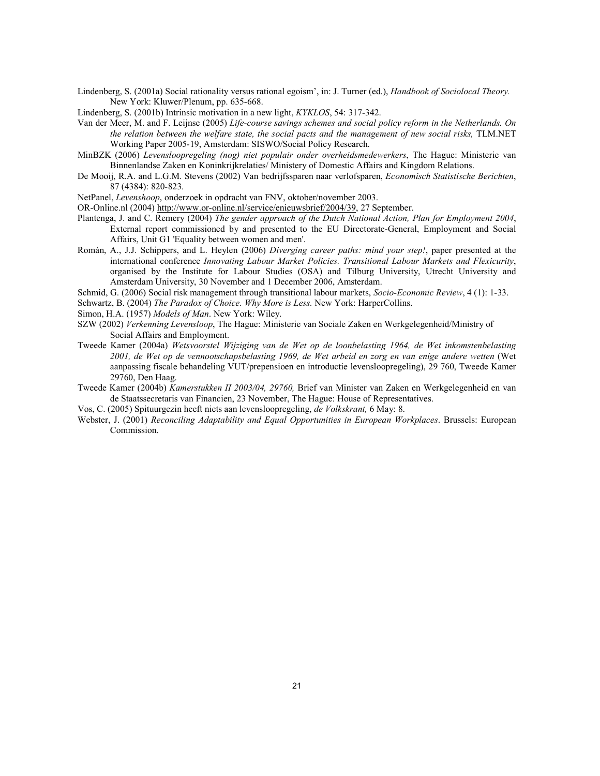Lindenberg, S. (2001a) Social rationality versus rational egoism', in: J. Turner (ed.), *Handbook of Sociolocal Theory*. New York: Kluwer/Plenum, pp. 635-668.

Lindenberg, S. (2001b) Intrinsic motivation in a new light, KYKLOS, 54: 317-342.

- Van der Meer, M. and F. Leijnse (2005) Life-course savings schemes and social policy reform in the Netherlands. On the relation between the welfare state, the social pacts and the management of new social risks, TLM.NET Working Paper 2005-19, Amsterdam: SISWO/Social Policy Research.
- MinBZK (2006) Levensloopregeling (nog) niet populair onder overheidsmedewerkers, The Hague: Ministerie van Binnenlandse Zaken en Koninkrijkrelaties/ Ministery of Domestic Affairs and Kingdom Relations.
- De Mooij, R.A. and L.G.M. Stevens (2002) Van bedrijfssparen naar verlofsparen, Economisch Statistische Berichten, 87 (4384): 820-823.

NetPanel, Levenshoop, onderzoek in opdracht van FNV, oktober/november 2003.

OR-Online.nl (2004) http://www.or-online.nl/service/enieuwsbrief/2004/39, 27 September.

- Plantenga, J. and C. Remery (2004) The gender approach of the Dutch National Action, Plan for Employment 2004, External report commissioned by and presented to the EU Directorate-General, Employment and Social Affairs, Unit G1 'Equality between women and men'.
- Román, A., J.J. Schippers, and L. Heylen (2006) Diverging career paths: mind your step!, paper presented at the international conference Innovating Labour Market Policies. Transitional Labour Markets and Flexicurity, organised by the Institute for Labour Studies (OSA) and Tilburg University, Utrecht University and Amsterdam University, 30 November and 1 December 2006, Amsterdam.
- Schmid, G. (2006) Social risk management through transitional labour markets, Socio-Economic Review, 4 (1): 1-33.

Schwartz, B. (2004) The Paradox of Choice. Why More is Less. New York: HarperCollins.

- Simon, H.A. (1957) Models of Man. New York: Wiley.
- SZW (2002) Verkenning Levensloop, The Hague: Ministerie van Sociale Zaken en Werkgelegenheid/Ministry of Social Affairs and Employment.
- Tweede Kamer (2004a) Wetsvoorstel Wijziging van de Wet op de loonbelasting 1964, de Wet inkomstenbelasting 2001, de Wet op de vennootschapsbelasting 1969, de Wet arbeid en zorg en van enige andere wetten (Wet aanpassing fiscale behandeling VUT/prepensioen en introductie levensloopregeling), 29 760, Tweede Kamer 29760, Den Haag.
- Tweede Kamer (2004b) Kamerstukken II 2003/04, 29760, Brief van Minister van Zaken en Werkgelegenheid en van de Staatssecretaris van Financien, 23 November, The Hague: House of Representatives.

Vos, C. (2005) Spituurgezin heeft niets aan levensloopregeling, de Volkskrant, 6 May: 8.

Webster, J. (2001) Reconciling Adaptability and Equal Opportunities in European Workplaces. Brussels: European Commission.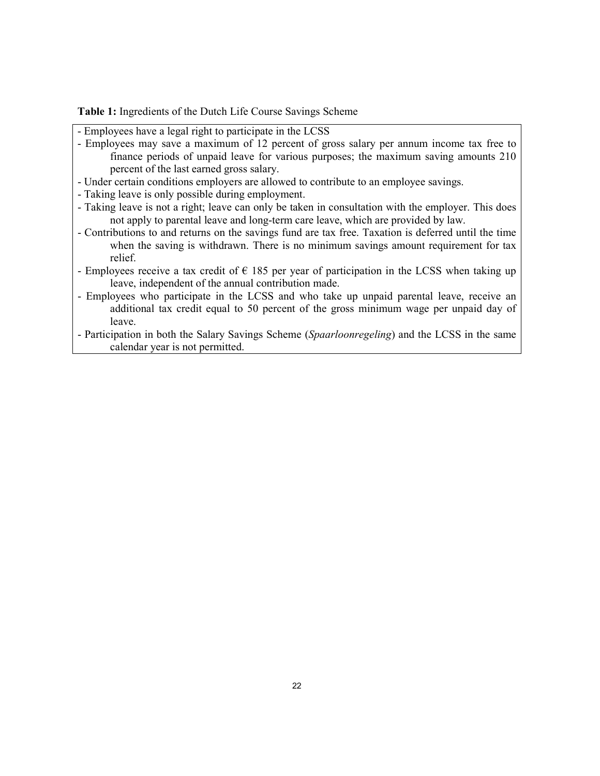Table 1: Ingredients of the Dutch Life Course Savings Scheme

- Employees have a legal right to participate in the LCSS
- Employees may save a maximum of 12 percent of gross salary per annum income tax free to finance periods of unpaid leave for various purposes; the maximum saving amounts 210 percent of the last earned gross salary.
- Under certain conditions employers are allowed to contribute to an employee savings.
- Taking leave is only possible during employment.
- Taking leave is not a right; leave can only be taken in consultation with the employer. This does not apply to parental leave and long-term care leave, which are provided by law.
- Contributions to and returns on the savings fund are tax free. Taxation is deferred until the time when the saving is withdrawn. There is no minimum savings amount requirement for tax relief.
- Employees receive a tax credit of  $\epsilon$  185 per year of participation in the LCSS when taking up leave, independent of the annual contribution made.
- Employees who participate in the LCSS and who take up unpaid parental leave, receive an additional tax credit equal to 50 percent of the gross minimum wage per unpaid day of leave.
- Participation in both the Salary Savings Scheme (Spaarloonregeling) and the LCSS in the same calendar year is not permitted.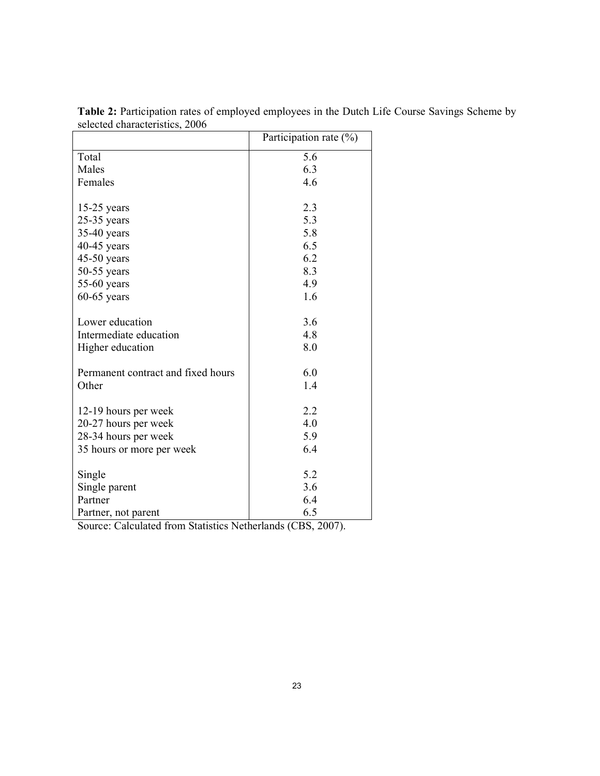|                                    | Participation rate $(\%)$ |  |  |
|------------------------------------|---------------------------|--|--|
| Total                              | 5.6                       |  |  |
| Males                              | 6.3                       |  |  |
| Females                            | 4.6                       |  |  |
|                                    |                           |  |  |
| $15-25$ years                      | 2.3                       |  |  |
| $25-35$ years                      | 5.3                       |  |  |
| $35-40$ years                      | 5.8                       |  |  |
| $40-45$ years                      | 6.5                       |  |  |
| $45-50$ years                      | 6.2                       |  |  |
| $50-55$ years                      | 8.3                       |  |  |
| $55-60$ years                      | 4.9                       |  |  |
| $60-65$ years                      | 1.6                       |  |  |
|                                    |                           |  |  |
| Lower education                    | 3.6                       |  |  |
| Intermediate education             | 4.8                       |  |  |
| Higher education                   | 8.0                       |  |  |
| Permanent contract and fixed hours | 6.0                       |  |  |
| Other                              | 1.4                       |  |  |
|                                    |                           |  |  |
| 12-19 hours per week               | 2.2                       |  |  |
| 20-27 hours per week               | 4.0                       |  |  |
| 28-34 hours per week               | 5.9                       |  |  |
| 35 hours or more per week          | 6.4                       |  |  |
|                                    |                           |  |  |
| Single                             | 5.2                       |  |  |
| Single parent                      | 3.6                       |  |  |
| Partner                            | 6.4                       |  |  |
| Partner, not parent                | 6.5                       |  |  |

Table 2: Participation rates of employed employees in the Dutch Life Course Savings Scheme by selected characteristics, 2006

Source: Calculated from Statistics Netherlands (CBS, 2007).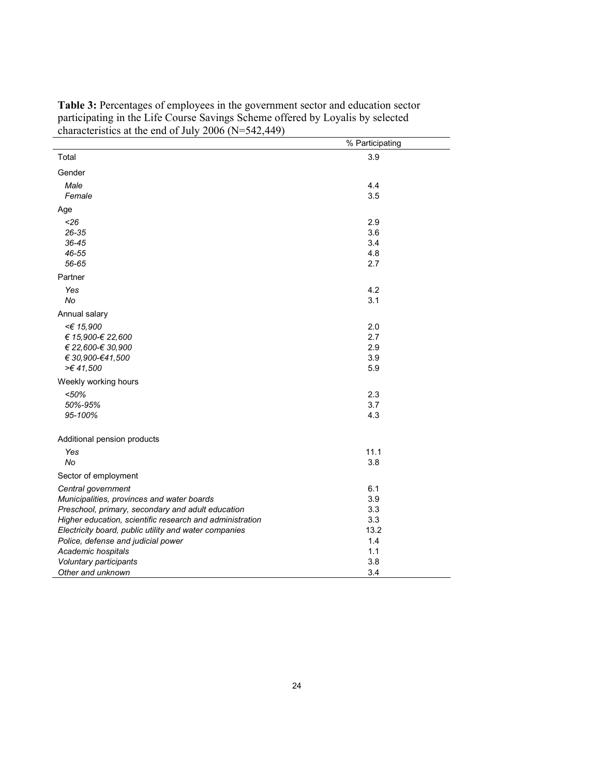|                                                          | % Participating |
|----------------------------------------------------------|-----------------|
| Total                                                    | 3.9             |
| Gender                                                   |                 |
| Male                                                     | 4.4             |
| Female                                                   | 3.5             |
| Age                                                      |                 |
| < 26                                                     | 2.9             |
| 26-35                                                    | 3.6             |
| $36 - 45$                                                | 3.4             |
| 46-55                                                    | 4.8             |
| 56-65                                                    | 2.7             |
| Partner                                                  |                 |
| Yes                                                      | 4.2             |
| No                                                       | 3.1             |
| Annual salary                                            |                 |
| <€ 15,900                                                | 2.0             |
| € 15,900-€ 22,600                                        | 2.7             |
| € 22,600-€ 30,900                                        | 2.9             |
| € 30,900-€41,500                                         | 3.9             |
| >€41,500                                                 | 5.9             |
| Weekly working hours                                     |                 |
| < 50%                                                    | 2.3             |
| 50%-95%                                                  | 3.7             |
| 95-100%                                                  | 4.3             |
| Additional pension products                              |                 |
| Yes                                                      | 11.1            |
| No                                                       | 3.8             |
| Sector of employment                                     |                 |
| Central government                                       | 6.1             |
| Municipalities, provinces and water boards               | 3.9             |
| Preschool, primary, secondary and adult education        | 3.3             |
| Higher education, scientific research and administration | 3.3             |
| Electricity board, public utility and water companies    | 13.2            |
| Police, defense and judicial power                       | 1.4             |
| Academic hospitals                                       | 1.1             |
| Voluntary participants                                   | 3.8             |
| Other and unknown                                        | 3.4             |

Table 3: Percentages of employees in the government sector and education sector participating in the Life Course Savings Scheme offered by Loyalis by selected characteristics at the end of July 2006 (N=542,449)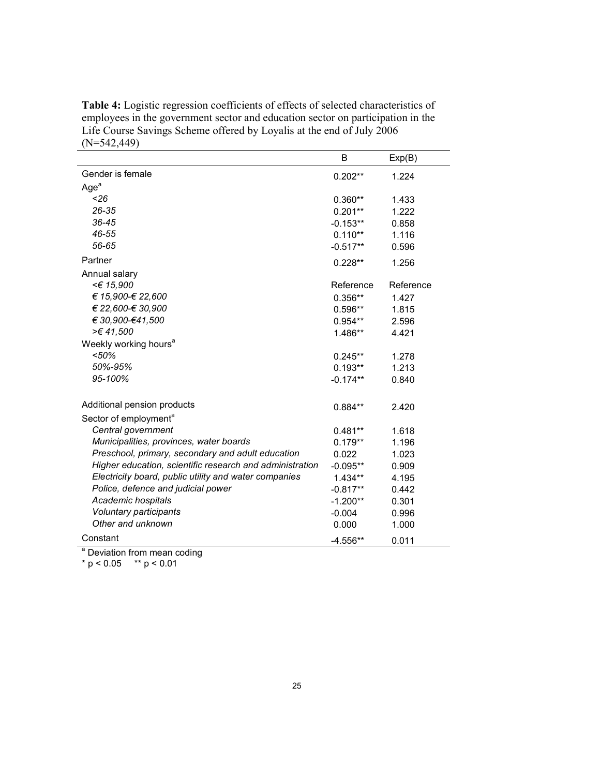Table 4: Logistic regression coefficients of effects of selected characteristics of employees in the government sector and education sector on participation in the Life Course Savings Scheme offered by Loyalis at the end of July 2006 (N=542,449)

|                                                          | B                      | Exp(B)         |
|----------------------------------------------------------|------------------------|----------------|
| Gender is female                                         | $0.202**$              | 1.224          |
| Age <sup>a</sup>                                         |                        |                |
| < 26                                                     | $0.360**$              | 1.433          |
| 26-35                                                    | $0.201**$              | 1.222          |
| 36-45                                                    | $-0.153**$             | 0.858          |
| 46-55                                                    | $0.110**$              | 1.116          |
| 56-65                                                    | $-0.517**$             | 0.596          |
| Partner                                                  | $0.228**$              | 1.256          |
| Annual salary                                            |                        |                |
| <€ 15,900                                                | Reference              | Reference      |
| € 15,900-€ 22,600                                        | $0.356**$              | 1.427          |
| € 22,600-€ 30,900                                        | $0.596**$              | 1.815          |
| € 30,900-€41,500                                         | $0.954**$              | 2.596          |
| >€41,500                                                 | $1.486**$              | 4.421          |
| Weekly working hours <sup>a</sup>                        |                        |                |
| $50%$                                                    | $0.245**$              | 1.278          |
| 50%-95%                                                  | $0.193**$              | 1.213          |
| 95-100%                                                  | $-0.174**$             | 0.840          |
| Additional pension products                              |                        |                |
|                                                          | $0.884**$              | 2.420          |
| Sector of employment <sup>a</sup><br>Central government  |                        | 1.618          |
| Municipalities, provinces, water boards                  | $0.481**$<br>$0.179**$ | 1.196          |
| Preschool, primary, secondary and adult education        |                        |                |
| Higher education, scientific research and administration | 0.022<br>$-0.095**$    | 1.023<br>0.909 |
| Electricity board, public utility and water companies    | $1.434**$              | 4.195          |
| Police, defence and judicial power                       |                        | 0.442          |
| Academic hospitals                                       | $-0.817**$             |                |
| Voluntary participants                                   | $-1.200**$             | 0.301          |
| Other and unknown                                        | $-0.004$<br>0.000      | 0.996<br>1.000 |
|                                                          |                        |                |
| Constant                                                 | $-4.556**$             | 0.011          |

<sup>a</sup> Deviation from mean coding

\*  $p < 0.05$  \*\*  $p < 0.01$